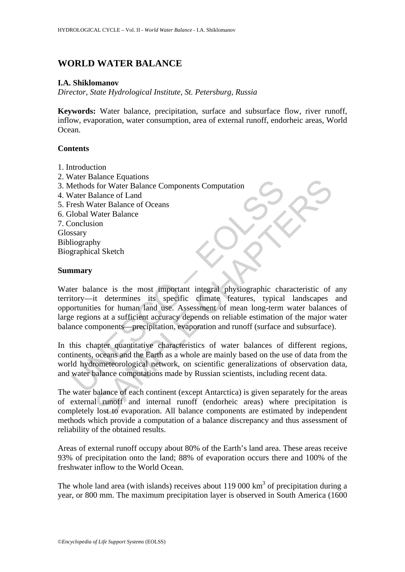# **WORLD WATER BALANCE**

#### **I.A. Shiklomanov**

*Director, State Hydrological Institute, St. Petersburg, Russia* 

**Keywords:** Water balance, precipitation, surface and subsurface flow, river runoff, inflow, evaporation, water consumption, area of external runoff, endorheic areas, World Ocean.

### **Contents**

- 1. Introduction
- 2. Water Balance Equations
- 3. Methods for Water Balance Components Computation
- 4. Water Balance of Land
- 5. Fresh Water Balance of Oceans
- 6. Global Water Balance

7. Conclusion

Glossary

Bibliography Biographical Sketch

### **Summary**

Water Balance Equation<br>
Thethods for Water Balance Components Computation<br>
Vater Balance of Land<br>
There Balance of Oceans<br>
Iologial Water Balance<br>
Sesary<br>
Iolography<br>
Sesary<br>
Iolography<br>
Sesary<br>
In the marry<br>
The parameter Exame Comparison Computation<br>
Secret Explaine Components Computation<br>
Secret Balance of Land<br>
ater Balance of Leam<br>
Mater Balance of Cocans<br>
Notare Balance of Cocans<br>
Sata as at sufficient accuracy depends on relation<br>
of Water balance is the most important integral physiographic characteristic of any territory—it determines its specific climate features, typical landscapes and opportunities for human land use. Assessment of mean long-term water balances of large regions at a sufficient accuracy depends on reliable estimation of the major water balance components—precipitation, evaporation and runoff (surface and subsurface).

In this chapter quantitative characteristics of water balances of different regions, continents, oceans and the Earth as a whole are mainly based on the use of data from the world hydrometeorological network, on scientific generalizations of observation data, and water balance computations made by Russian scientists, including recent data.

The water balance of each continent (except Antarctica) is given separately for the areas of external runoff and internal runoff (endorheic areas) where precipitation is completely lost to evaporation. All balance components are estimated by independent methods which provide a computation of a balance discrepancy and thus assessment of reliability of the obtained results.

Areas of external runoff occupy about 80% of the Earth's land area. These areas receive 93% of precipitation onto the land; 88% of evaporation occurs there and 100% of the freshwater inflow to the World Ocean.

The whole land area (with islands) receives about 119 000  $km<sup>3</sup>$  of precipitation during a year, or 800 mm. The maximum precipitation layer is observed in South America (1600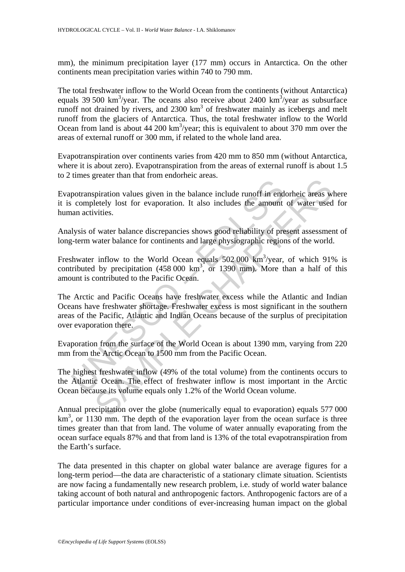mm), the minimum precipitation layer (177 mm) occurs in Antarctica. On the other continents mean precipitation varies within 740 to 790 mm.

The total freshwater inflow to the World Ocean from the continents (without Antarctica) equals 39 500 km<sup>3</sup>/year. The oceans also receive about 2400 km<sup>3</sup>/year as subsurface runoff not drained by rivers, and  $2300 \text{ km}^3$  of freshwater mainly as icebergs and melt runoff from the glaciers of Antarctica. Thus, the total freshwater inflow to the World Ocean from land is about  $44\,200\ \text{km}^3/\text{year}$ ; this is equivalent to about 370 mm over the areas of external runoff or 300 mm, if related to the whole land area.

Evapotranspiration over continents varies from 420 mm to 850 mm (without Antarctica, where it is about zero). Evapotranspiration from the areas of external runoff is about 1.5 to 2 times greater than that from endorheic areas.

Evapotranspiration values given in the balance include runoff in endorheic areas where it is completely lost for evaporation. It also includes the amount of water used for human activities.

Analysis of water balance discrepancies shows good reliability of present assessment of long-term water balance for continents and large physiographic regions of the world.

Freshwater inflow to the World Ocean equals  $502,000 \text{ km}^3/\text{year}$ , of which 91% is contributed by precipitation  $(458\,000\,km^3)$ , or 1390 mm). More than a half of this amount is contributed to the Pacific Ocean.

potranspiration values given in the balance include runoff in end<br>completely lost for evaporation. It also includes the amount<br>an activities.<br><br>Mysis of water balance discrepancies shows good reliability of pre-<br>term water given man man constraint and and control the proof in endorheic areas we<br>letely lost for evaporation. It also includes the amount of water used<br>vities.<br>Yinter balance discrepancies shows good reliability of present assess The Arctic and Pacific Oceans have freshwater excess while the Atlantic and Indian Oceans have freshwater shortage. Freshwater excess is most significant in the southern areas of the Pacific, Atlantic and Indian Oceans because of the surplus of precipitation over evaporation there.

Evaporation from the surface of the World Ocean is about 1390 mm, varying from 220 mm from the Arctic Ocean to 1500 mm from the Pacific Ocean.

The highest freshwater inflow (49% of the total volume) from the continents occurs to the Atlantic Ocean. The effect of freshwater inflow is most important in the Arctic Ocean because its volume equals only 1.2% of the World Ocean volume.

Annual precipitation over the globe (numerically equal to evaporation) equals 577 000 km<sup>3</sup>, or 1130 mm. The depth of the evaporation layer from the ocean surface is three times greater than that from land. The volume of water annually evaporating from the ocean surface equals 87% and that from land is 13% of the total evapotranspiration from the Earth's surface.

The data presented in this chapter on global water balance are average figures for a long-term period—the data are characteristic of a stationary climate situation. Scientists are now facing a fundamentally new research problem, i.e. study of world water balance taking account of both natural and anthropogenic factors. Anthropogenic factors are of a particular importance under conditions of ever-increasing human impact on the global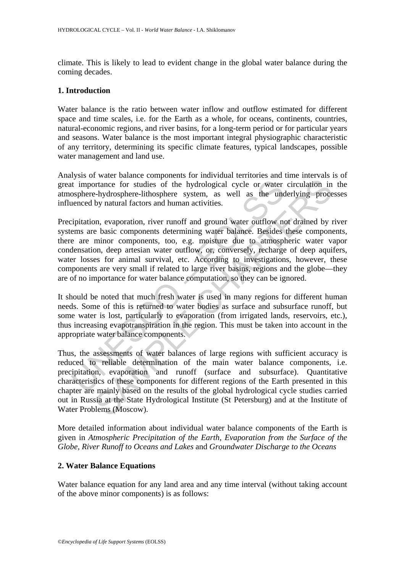climate. This is likely to lead to evident change in the global water balance during the coming decades.

### **1. Introduction**

Water balance is the ratio between water inflow and outflow estimated for different space and time scales, i.e. for the Earth as a whole, for oceans, continents, countries, natural-economic regions, and river basins, for a long-term period or for particular years and seasons. Water balance is the most important integral physiographic characteristic of any territory, determining its specific climate features, typical landscapes, possible water management and land use.

Analysis of water balance components for individual territories and time intervals is of great importance for studies of the hydrological cycle or water circulation in the atmosphere-hydrosphere-lithosphere system, as well as the underlying processes influenced by natural factors and human activities.

It importance for studies of the hydrological cycle or water<br>osphere-hydrosphere-lithosphere system, as well as the unc<br>enced by natural factors and human activities.<br>ipitation, evaporation, river runoff and ground water o France for studies of the hydrological cycle or water circulation in<br>trance for studies of the hydrological cycle or water circulation in<br>-hydrosphere-lithosphere system, as well as the underlying proce<br>by natural factors Precipitation, evaporation, river runoff and ground water outflow not drained by river systems are basic components determining water balance. Besides these components, there are minor components, too, e.g. moisture due to atmospheric water vapor condensation, deep artesian water outflow, or, conversely, recharge of deep aquifers, water losses for animal survival, etc. According to investigations, however, these components are very small if related to large river basins, regions and the globe—they are of no importance for water balance computation, so they can be ignored.

It should be noted that much fresh water is used in many regions for different human needs. Some of this is returned to water bodies as surface and subsurface runoff, but some water is lost, particularly to evaporation (from irrigated lands, reservoirs, etc.), thus increasing evapotranspiration in the region. This must be taken into account in the appropriate water balance components.

Thus, the assessments of water balances of large regions with sufficient accuracy is reduced to reliable determination of the main water balance components, i.e. precipitation, evaporation and runoff (surface and subsurface). Quantitative characteristics of these components for different regions of the Earth presented in this chapter are mainly based on the results of the global hydrological cycle studies carried out in Russia at the State Hydrological Institute (St Petersburg) and at the Institute of Water Problems (Moscow).

More detailed information about individual water balance components of the Earth is given in *Atmospheric Precipitation of the Earth, Evaporation from the Surface of the Globe, River Runoff to Oceans and Lakes* and *Groundwater Discharge to the Oceans* 

## **2. Water Balance Equations**

Water balance equation for any land area and any time interval (without taking account of the above minor components) is as follows: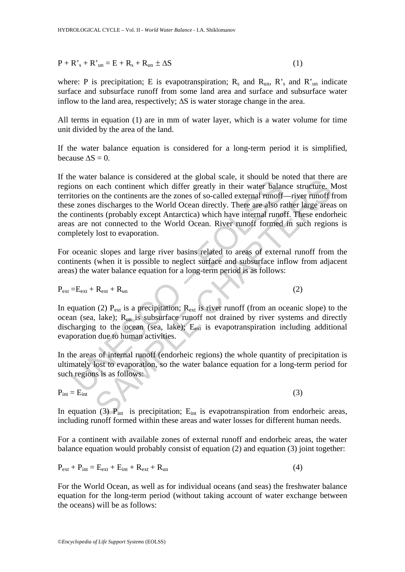$P + R's + R'u_n = E + R_s + R_{un} \pm \Delta S$  (1)

where: P is precipitation; E is evapotranspiration;  $R_s$  and  $R_{un}$ ,  $R_s$  and  $R_{un}$  indicate surface and subsurface runoff from some land area and surface and subsurface water inflow to the land area, respectively;  $\Delta S$  is water storage change in the area.

All terms in equation (1) are in mm of water layer, which is a water volume for time unit divided by the area of the land.

If the water balance equation is considered for a long-term period it is simplified, because  $\Delta S = 0$ .

E water other is consistent at the giotal scate, it shows on each continent which differ greatly in their water balantories on the continents are the zones of so-called external runoff-<br>e zones discharges to the World Oce bander is considered at the good scale, it should be indeted that there are structure.<br>
each continent which differ greatly in their water balance structure. Note that the contribution the contribution of the world Ocean If the water balance is considered at the global scale, it should be noted that there are regions on each continent which differ greatly in their water balance structure. Most territories on the continents are the zones of so-called external runoff—river runoff from these zones discharges to the World Ocean directly. There are also rather large areas on the continents (probably except Antarctica) which have internal runoff. These endorheic areas are not connected to the World Ocean. River runoff formed in such regions is completely lost to evaporation.

For oceanic slopes and large river basins related to areas of external runoff from the continents (when it is possible to neglect surface and subsurface inflow from adjacent areas) the water balance equation for a long-term period is as follows:

$$
P_{ext} = E_{ext} + R_{ext} + R_{un}
$$
 (2)

In equation (2)  $P_{ext}$  is a precipitation;  $R_{ext}$  is river runoff (from an oceanic slope) to the ocean (sea, lake); Run is subsurface runoff not drained by river systems and directly discharging to the ocean (sea, lake);  $E_{ext}$  is evapotranspiration including additional evaporation due to human activities.

In the areas of internal runoff (endorheic regions) the whole quantity of precipitation is ultimately lost to evaporation, so the water balance equation for a long-term period for such regions is as follows:

$$
P_{int} = E_{int}
$$
 (3)

In equation (3)  $P_{int}$  is precipitation;  $E_{int}$  is evapotranspiration from endorheic areas, including runoff formed within these areas and water losses for different human needs.

For a continent with available zones of external runoff and endorheic areas, the water balance equation would probably consist of equation (2) and equation (3) joint together:

$$
P_{ext} + P_{int} = E_{ext} + E_{int} + R_{ext} + R_{un}
$$
\n(4)

For the World Ocean, as well as for individual oceans (and seas) the freshwater balance equation for the long-term period (without taking account of water exchange between the oceans) will be as follows: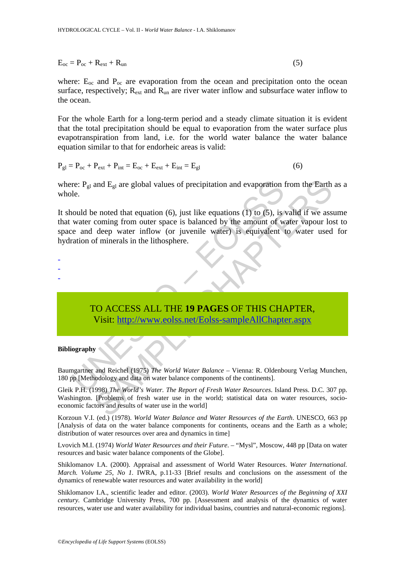$$
E_{oc} = P_{oc} + R_{ext} + R_{un}
$$
 (5)

where:  $E_{\text{oc}}$  and  $P_{\text{oc}}$  are evaporation from the ocean and precipitation onto the ocean surface, respectively;  $R_{ext}$  and  $R_{un}$  are river water inflow and subsurface water inflow to the ocean.

For the whole Earth for a long-term period and a steady climate situation it is evident that the total precipitation should be equal to evaporation from the water surface plus evapotranspiration from land, i.e. for the world water balance the water balance equation similar to that for endorheic areas is valid:

$$
P_{gl} = P_{oc} + P_{ext} + P_{int} = E_{oc} + E_{ext} + E_{int} = E_{gl}
$$
 (6)

where:  $P_{gl}$  and  $E_{gl}$  are global values of precipitation and evaporation from the Earth as a whole.

The Papel and E<sub>gl</sub> are global values of precipitation and evaporation leftuated the reduction (5), just like equations (1) to (5), is water coming from outer space is balanced by the amount of wise and deep water inflow and E<sub>gl</sub> are global values of precipitation and evaporation from the Earth<br>
e noted that equation (6), just like equations (1) to (5), is valid if we ass<br>
coming from outer space is balanced by the amount of water vapour It should be noted that equation  $(6)$ , just like equations  $(1)$  to  $(5)$ , is valid if we assume that water coming from outer space is balanced by the amount of water vapour lost to space and deep water inflow (or juvenile water) is equivalent to water used for hydration of minerals in the lithosphere.

-

- -

> TO ACCESS ALL THE **19 PAGES** OF THIS CHAPTER, Visit: http://www.eolss.net/Eolss-sampleAllChapter.aspx

#### **Bibliography**

Baumgartner and Reichel (1975) *The World Water Balance* – Vienna: R. Oldenbourg Verlag Munchen, 180 pp [Methodology and data on water balance components of the continents].

Gleik P.H. (1998) *The World's Water. The Report of Fresh Water Resources*. Island Press. D.C. 307 pp. Washington. [Problems of fresh water use in the world; statistical data on water resources, socioeconomic factors and results of water use in the world]

Korzoun V.I. (ed.) (1978). *World Water Balance and Water Resources of the Earth*. UNESCO, 663 pp [Analysis of data on the water balance components for continents, oceans and the Earth as a whole; distribution of water resources over area and dynamics in time]

Lvovich M.I. (1974) *World Water Resources and their Future*. – "Mysl", Moscow, 448 pp [Data on water resources and basic water balance components of the Globe].

Shiklomanov I.A. (2000). Appraisal and assessment of World Water Resources. *Water International. March. Volume 25, No 1.* IWRA, p.11-33 [Brief results and conclusions on the assessment of the dynamics of renewable water resources and water availability in the world]

Shiklomanov I.A., scientific leader and editor. (2003). *World Water Resources of the Beginning of XXI century.* Cambridge University Press, 700 pp. [Assessment and analysis of the dynamics of water resources, water use and water availability for individual basins, countries and natural-economic regions].